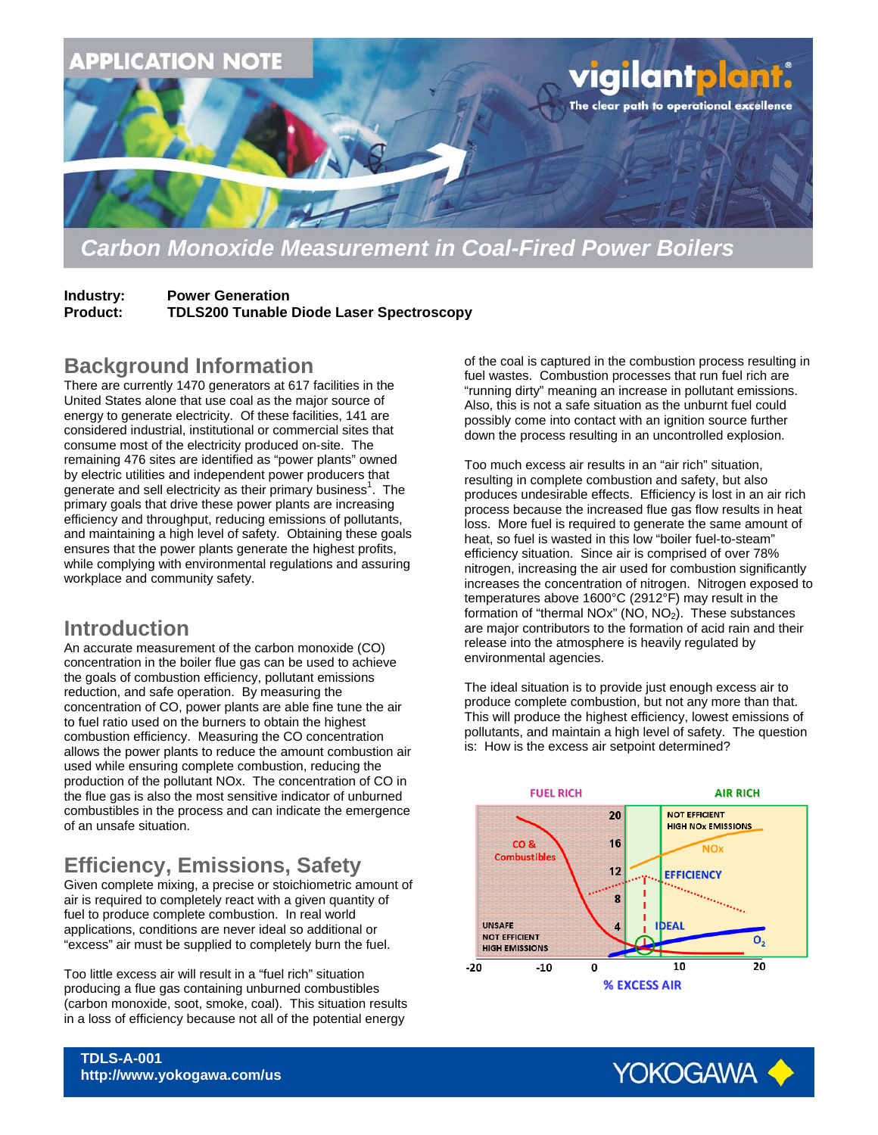

### *Carbon Monoxide Measurement in Coal-Fired Power Boilers*

**Industry: Power Generation Product: TDLS200 Tunable Diode Laser Spectroscopy** 

#### **Background Information**

There are currently 1470 generators at 617 facilities in the United States alone that use coal as the major source of energy to generate electricity. Of these facilities, 141 are considered industrial, institutional or commercial sites that consume most of the electricity produced on-site. The remaining 476 sites are identified as "power plants" owned by electric utilities and independent power producers that generate and sell electricity as their primary business<sup>1</sup>. The primary goals that drive these power plants are increasing efficiency and throughput, reducing emissions of pollutants, and maintaining a high level of safety. Obtaining these goals ensures that the power plants generate the highest profits, while complying with environmental regulations and assuring workplace and community safety.

#### **Introduction**

An accurate measurement of the carbon monoxide (CO) concentration in the boiler flue gas can be used to achieve the goals of combustion efficiency, pollutant emissions reduction, and safe operation. By measuring the concentration of CO, power plants are able fine tune the air to fuel ratio used on the burners to obtain the highest combustion efficiency. Measuring the CO concentration allows the power plants to reduce the amount combustion air used while ensuring complete combustion, reducing the production of the pollutant NOx. The concentration of CO in the flue gas is also the most sensitive indicator of unburned combustibles in the process and can indicate the emergence of an unsafe situation.

## **Efficiency, Emissions, Safety**

Given complete mixing, a precise or stoichiometric amount of air is required to completely react with a given quantity of fuel to produce complete combustion. In real world applications, conditions are never ideal so additional or "excess" air must be supplied to completely burn the fuel.

Too little excess air will result in a "fuel rich" situation producing a flue gas containing unburned combustibles (carbon monoxide, soot, smoke, coal). This situation results in a loss of efficiency because not all of the potential energy

of the coal is captured in the combustion process resulting in fuel wastes. Combustion processes that run fuel rich are "running dirty" meaning an increase in pollutant emissions. Also, this is not a safe situation as the unburnt fuel could possibly come into contact with an ignition source further down the process resulting in an uncontrolled explosion.

Too much excess air results in an "air rich" situation, resulting in complete combustion and safety, but also produces undesirable effects. Efficiency is lost in an air rich process because the increased flue gas flow results in heat loss. More fuel is required to generate the same amount of heat, so fuel is wasted in this low "boiler fuel-to-steam" efficiency situation. Since air is comprised of over 78% nitrogen, increasing the air used for combustion significantly increases the concentration of nitrogen. Nitrogen exposed to temperatures above 1600°C (2912°F) may result in the formation of "thermal NOx" (NO,  $NO<sub>2</sub>$ ). These substances are major contributors to the formation of acid rain and their release into the atmosphere is heavily regulated by environmental agencies.

The ideal situation is to provide just enough excess air to produce complete combustion, but not any more than that. This will produce the highest efficiency, lowest emissions of pollutants, and maintain a high level of safety. The question is: How is the excess air setpoint determined?





**TDLS-A-001 http://www.yokogawa.com/us**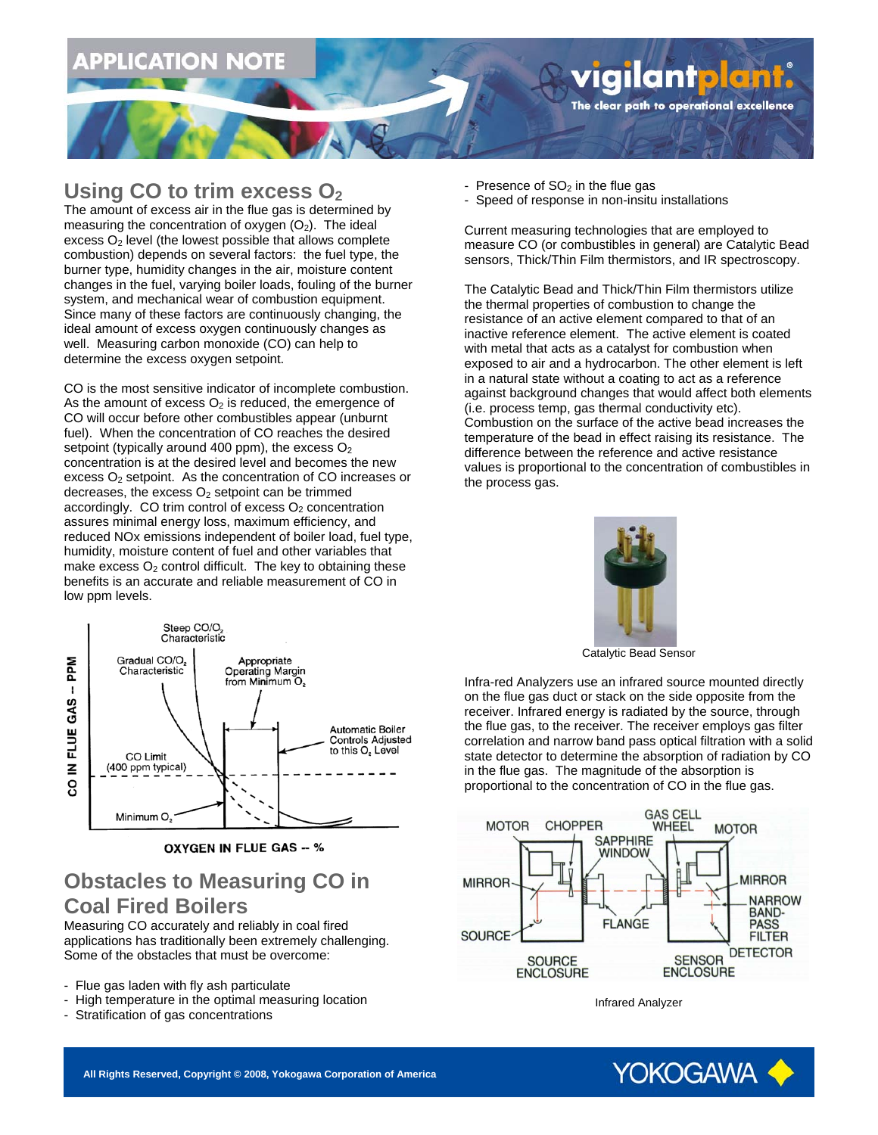# PPLICATION NOTE

#### **Using CO to trim excess O<sub>2</sub>**

The amount of excess air in the flue gas is determined by measuring the concentration of oxygen  $(O_2)$ . The ideal excess  $O<sub>2</sub>$  level (the lowest possible that allows complete combustion) depends on several factors: the fuel type, the burner type, humidity changes in the air, moisture content changes in the fuel, varying boiler loads, fouling of the burner system, and mechanical wear of combustion equipment. Since many of these factors are continuously changing, the ideal amount of excess oxygen continuously changes as well. Measuring carbon monoxide (CO) can help to determine the excess oxygen setpoint.

CO is the most sensitive indicator of incomplete combustion. As the amount of excess  $O<sub>2</sub>$  is reduced, the emergence of CO will occur before other combustibles appear (unburnt fuel). When the concentration of CO reaches the desired setpoint (typically around 400 ppm), the excess  $O<sub>2</sub>$ concentration is at the desired level and becomes the new excess  $O<sub>2</sub>$  setpoint. As the concentration of CO increases or decreases, the excess  $O<sub>2</sub>$  setpoint can be trimmed accordingly. CO trim control of excess  $O<sub>2</sub>$  concentration assures minimal energy loss, maximum efficiency, and reduced NOx emissions independent of boiler load, fuel type, humidity, moisture content of fuel and other variables that make excess  $O<sub>2</sub>$  control difficult. The key to obtaining these benefits is an accurate and reliable measurement of CO in low ppm levels.



**OXYGEN IN FLUE GAS -- %** 

### **Obstacles to Measuring CO in Coal Fired Boilers**

Measuring CO accurately and reliably in coal fired applications has traditionally been extremely challenging. Some of the obstacles that must be overcome:

- Flue gas laden with fly ash particulate
- High temperature in the optimal measuring location
- Stratification of gas concentrations
- Presence of  $SO<sub>2</sub>$  in the flue gas
- Speed of response in non-insitu installations

Current measuring technologies that are employed to measure CO (or combustibles in general) are Catalytic Bead sensors, Thick/Thin Film thermistors, and IR spectroscopy.

vigilant<mark>plant.</mark> The clear path to operational excellence

The Catalytic Bead and Thick/Thin Film thermistors utilize the thermal properties of combustion to change the resistance of an active element compared to that of an inactive reference element. The active element is coated with metal that acts as a catalyst for combustion when exposed to air and a hydrocarbon. The other element is left in a natural state without a coating to act as a reference against background changes that would affect both elements (i.e. process temp, gas thermal conductivity etc). Combustion on the surface of the active bead increases the temperature of the bead in effect raising its resistance. The difference between the reference and active resistance values is proportional to the concentration of combustibles in the process gas.



Catalytic Bead Sensor

Infra-red Analyzers use an infrared source mounted directly on the flue gas duct or stack on the side opposite from the receiver. Infrared energy is radiated by the source, through the flue gas, to the receiver. The receiver employs gas filter correlation and narrow band pass optical filtration with a solid state detector to determine the absorption of radiation by CO in the flue gas. The magnitude of the absorption is proportional to the concentration of CO in the flue gas.



Infrared Analyzer